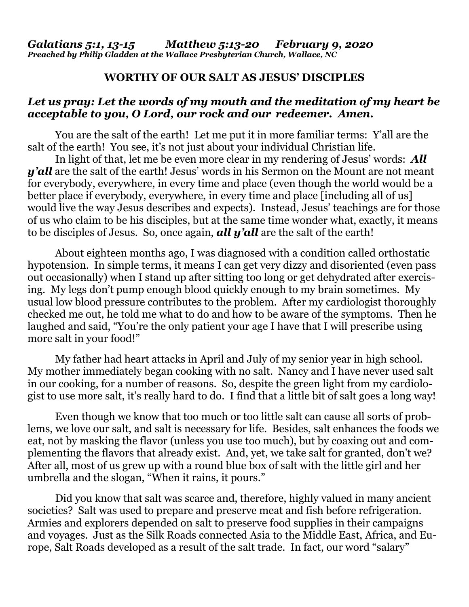## **WORTHY OF OUR SALT AS JESUS' DISCIPLES**

## *Let us pray: Let the words of my mouth and the meditation of my heart be acceptable to you, O Lord, our rock and our redeemer. Amen.*

You are the salt of the earth! Let me put it in more familiar terms: Y'all are the salt of the earth! You see, it's not just about your individual Christian life.

In light of that, let me be even more clear in my rendering of Jesus' words: *All y'all* are the salt of the earth! Jesus' words in his Sermon on the Mount are not meant for everybody, everywhere, in every time and place (even though the world would be a better place if everybody, everywhere, in every time and place [including all of us] would live the way Jesus describes and expects). Instead, Jesus' teachings are for those of us who claim to be his disciples, but at the same time wonder what, exactly, it means to be disciples of Jesus. So, once again, *all y'all* are the salt of the earth!

About eighteen months ago, I was diagnosed with a condition called orthostatic hypotension. In simple terms, it means I can get very dizzy and disoriented (even pass out occasionally) when I stand up after sitting too long or get dehydrated after exercising. My legs don't pump enough blood quickly enough to my brain sometimes. My usual low blood pressure contributes to the problem. After my cardiologist thoroughly checked me out, he told me what to do and how to be aware of the symptoms. Then he laughed and said, "You're the only patient your age I have that I will prescribe using more salt in your food!"

My father had heart attacks in April and July of my senior year in high school. My mother immediately began cooking with no salt. Nancy and I have never used salt in our cooking, for a number of reasons. So, despite the green light from my cardiologist to use more salt, it's really hard to do. I find that a little bit of salt goes a long way!

Even though we know that too much or too little salt can cause all sorts of problems, we love our salt, and salt is necessary for life. Besides, salt enhances the foods we eat, not by masking the flavor (unless you use too much), but by coaxing out and complementing the flavors that already exist. And, yet, we take salt for granted, don't we? After all, most of us grew up with a round blue box of salt with the little girl and her umbrella and the slogan, "When it rains, it pours."

Did you know that salt was scarce and, therefore, highly valued in many ancient societies? Salt was used to prepare and preserve meat and fish before refrigeration. Armies and explorers depended on salt to preserve food supplies in their campaigns and voyages. Just as the Silk Roads connected Asia to the Middle East, Africa, and Europe, Salt Roads developed as a result of the salt trade. In fact, our word "salary"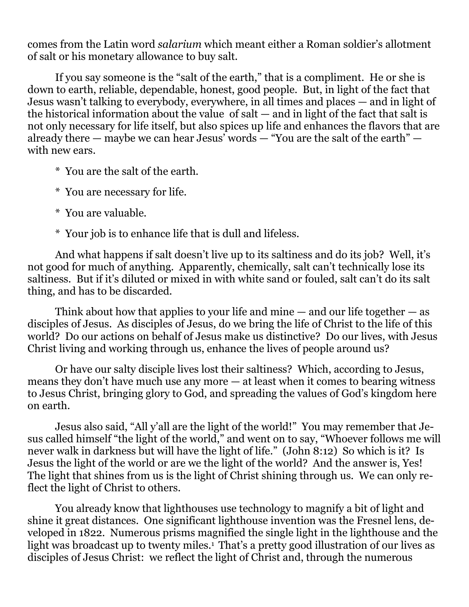comes from the Latin word *salarium* which meant either a Roman soldier's allotment of salt or his monetary allowance to buy salt.

If you say someone is the "salt of the earth," that is a compliment. He or she is down to earth, reliable, dependable, honest, good people. But, in light of the fact that Jesus wasn't talking to everybody, everywhere, in all times and places — and in light of the historical information about the value of salt — and in light of the fact that salt is not only necessary for life itself, but also spices up life and enhances the flavors that are already there — maybe we can hear Jesus' words — "You are the salt of the earth" with new ears.

- \* You are the salt of the earth.
- \* You are necessary for life.
- \* You are valuable.
- \* Your job is to enhance life that is dull and lifeless.

And what happens if salt doesn't live up to its saltiness and do its job? Well, it's not good for much of anything. Apparently, chemically, salt can't technically lose its saltiness. But if it's diluted or mixed in with white sand or fouled, salt can't do its salt thing, and has to be discarded.

Think about how that applies to your life and mine  $-$  and our life together  $-$  as disciples of Jesus. As disciples of Jesus, do we bring the life of Christ to the life of this world? Do our actions on behalf of Jesus make us distinctive? Do our lives, with Jesus Christ living and working through us, enhance the lives of people around us?

Or have our salty disciple lives lost their saltiness? Which, according to Jesus, means they don't have much use any more — at least when it comes to bearing witness to Jesus Christ, bringing glory to God, and spreading the values of God's kingdom here on earth.

Jesus also said, "All y'all are the light of the world!" You may remember that Jesus called himself "the light of the world," and went on to say, "Whoever follows me will never walk in darkness but will have the light of life." (John 8:12) So which is it? Is Jesus the light of the world or are we the light of the world? And the answer is, Yes! The light that shines from us is the light of Christ shining through us. We can only reflect the light of Christ to others.

You already know that lighthouses use technology to magnify a bit of light and shine it great distances. One significant lighthouse invention was the Fresnel lens, developed in 1822. Numerous prisms magnified the single light in the lighthouse and the light was broadcast up to twenty miles.<sup>1</sup> That's a pretty good illustration of our lives as disciples of Jesus Christ: we reflect the light of Christ and, through the numerous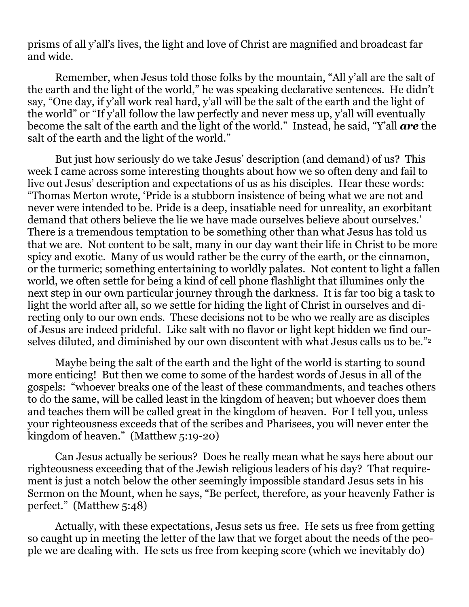prisms of all y'all's lives, the light and love of Christ are magnified and broadcast far and wide.

Remember, when Jesus told those folks by the mountain, "All y'all are the salt of the earth and the light of the world," he was speaking declarative sentences. He didn't say, "One day, if y'all work real hard, y'all will be the salt of the earth and the light of the world" or "If y'all follow the law perfectly and never mess up, y'all will eventually become the salt of the earth and the light of the world." Instead, he said, "Y'all *are* the salt of the earth and the light of the world."

But just how seriously do we take Jesus' description (and demand) of us? This week I came across some interesting thoughts about how we so often deny and fail to live out Jesus' description and expectations of us as his disciples. Hear these words: "Thomas Merton wrote, 'Pride is a stubborn insistence of being what we are not and never were intended to be. Pride is a deep, insatiable need for unreality, an exorbitant demand that others believe the lie we have made ourselves believe about ourselves.' There is a tremendous temptation to be something other than what Jesus has told us that we are. Not content to be salt, many in our day want their life in Christ to be more spicy and exotic. Many of us would rather be the curry of the earth, or the cinnamon, or the turmeric; something entertaining to worldly palates. Not content to light a fallen world, we often settle for being a kind of cell phone flashlight that illumines only the next step in our own particular journey through the darkness. It is far too big a task to light the world after all, so we settle for hiding the light of Christ in ourselves and directing only to our own ends. These decisions not to be who we really are as disciples of Jesus are indeed prideful. Like salt with no flavor or light kept hidden we find ourselves diluted, and diminished by our own discontent with what Jesus calls us to be."<sup>2</sup>

Maybe being the salt of the earth and the light of the world is starting to sound more enticing! But then we come to some of the hardest words of Jesus in all of the gospels: "whoever breaks one of the least of these commandments, and teaches others to do the same, will be called least in the kingdom of heaven; but whoever does them and teaches them will be called great in the kingdom of heaven. For I tell you, unless your righteousness exceeds that of the scribes and Pharisees, you will never enter the kingdom of heaven." (Matthew 5:19-20)

Can Jesus actually be serious? Does he really mean what he says here about our righteousness exceeding that of the Jewish religious leaders of his day? That requirement is just a notch below the other seemingly impossible standard Jesus sets in his Sermon on the Mount, when he says, "Be perfect, therefore, as your heavenly Father is perfect." (Matthew 5:48)

Actually, with these expectations, Jesus sets us free. He sets us free from getting so caught up in meeting the letter of the law that we forget about the needs of the people we are dealing with. He sets us free from keeping score (which we inevitably do)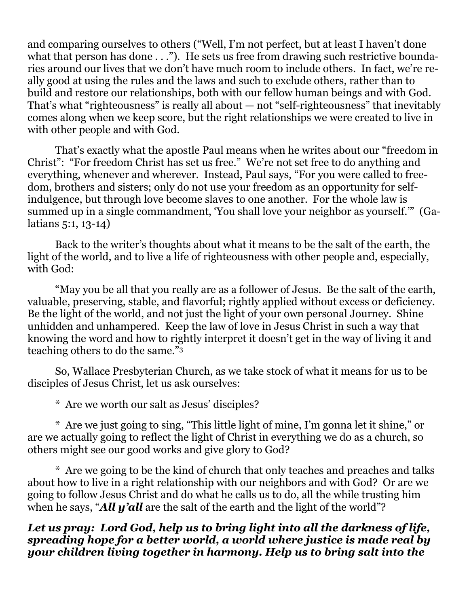and comparing ourselves to others ("Well, I'm not perfect, but at least I haven't done what that person has done . . ."). He sets us free from drawing such restrictive boundaries around our lives that we don't have much room to include others. In fact, we're really good at using the rules and the laws and such to exclude others, rather than to build and restore our relationships, both with our fellow human beings and with God. That's what "righteousness" is really all about — not "self-righteousness" that inevitably comes along when we keep score, but the right relationships we were created to live in with other people and with God.

That's exactly what the apostle Paul means when he writes about our "freedom in Christ": "For freedom Christ has set us free." We're not set free to do anything and everything, whenever and wherever. Instead, Paul says, "For you were called to freedom, brothers and sisters; only do not use your freedom as an opportunity for selfindulgence, but through love become slaves to one another. For the whole law is summed up in a single commandment, 'You shall love your neighbor as yourself.'" (Galatians 5:1, 13-14)

Back to the writer's thoughts about what it means to be the salt of the earth, the light of the world, and to live a life of righteousness with other people and, especially, with God:

"May you be all that you really are as a follower of Jesus. Be the salt of the earth, valuable, preserving, stable, and flavorful; rightly applied without excess or deficiency. Be the light of the world, and not just the light of your own personal Journey. Shine unhidden and unhampered. Keep the law of love in Jesus Christ in such a way that knowing the word and how to rightly interpret it doesn't get in the way of living it and teaching others to do the same."<sup>3</sup>

So, Wallace Presbyterian Church, as we take stock of what it means for us to be disciples of Jesus Christ, let us ask ourselves:

\* Are we worth our salt as Jesus' disciples?

\* Are we just going to sing, "This little light of mine, I'm gonna let it shine," or are we actually going to reflect the light of Christ in everything we do as a church, so others might see our good works and give glory to God?

\* Are we going to be the kind of church that only teaches and preaches and talks about how to live in a right relationship with our neighbors and with God? Or are we going to follow Jesus Christ and do what he calls us to do, all the while trusting him when he says, "*All y'all* are the salt of the earth and the light of the world"?

*Let us pray: Lord God, help us to bring light into all the darkness of life, spreading hope for a better world, a world where justice is made real by your children living together in harmony. Help us to bring salt into the*